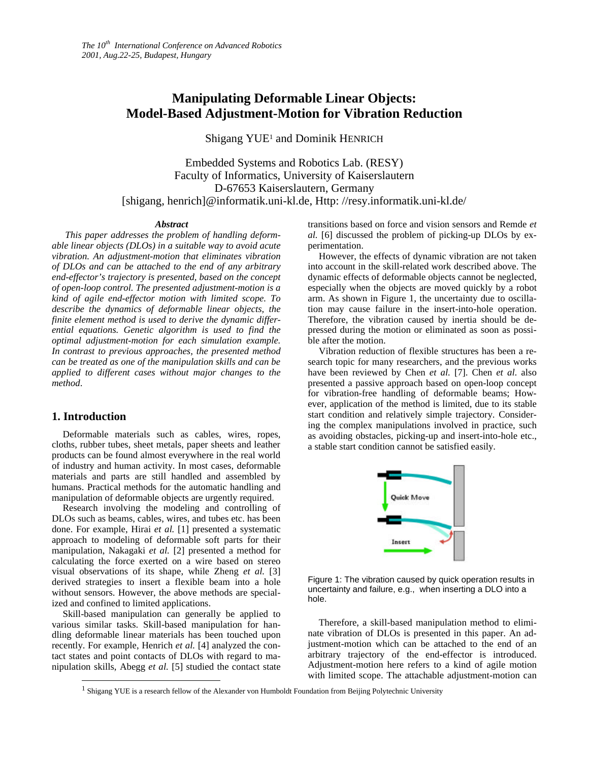# **Manipulating Deformable Linear Objects: Model-Based Adjustment-Motion for Vibration Reduction**

Shigang YUE<sup>1</sup> and Dominik HENRICH

Embedded Systems and Robotics Lab. (RESY) Faculty of Informatics, University of Kaiserslautern D-67653 Kaiserslautern, Germany [shigang, henrich]@informatik.uni-kl.de, Http: //resy.informatik.uni-kl.de/

#### *Abstract*

*This paper addresses the problem of handling deformable linear objects (DLOs) in a suitable way to avoid acute vibration. An adjustment-motion that eliminates vibration of DLOs and can be attached to the end of any arbitrary end-effector's trajectory is presented, based on the concept of open-loop control. The presented adjustment-motion is a kind of agile end-effector motion with limited scope. To describe the dynamics of deformable linear objects, the finite element method is used to derive the dynamic differential equations. Genetic algorithm is used to find the optimal adjustment-motion for each simulation example. In contrast to previous approaches, the presented method can be treated as one of the manipulation skills and can be applied to different cases without major changes to the method*.

## **1. Introduction**

 $\overline{a}$ 

Deformable materials such as cables, wires, ropes, cloths, rubber tubes, sheet metals, paper sheets and leather products can be found almost everywhere in the real world of industry and human activity. In most cases, deformable materials and parts are still handled and assembled by humans. Practical methods for the automatic handling and manipulation of deformable objects are urgently required.

Research involving the modeling and controlling of DLOs such as beams, cables, wires, and tubes etc. has been done. For example, Hirai *et al.* [1] presented a systematic approach to modeling of deformable soft parts for their manipulation, Nakagaki *et al.* [2] presented a method for calculating the force exerted on a wire based on stereo visual observations of its shape, while Zheng *et al.* [3] derived strategies to insert a flexible beam into a hole without sensors. However, the above methods are specialized and confined to limited applications.

Skill-based manipulation can generally be applied to various similar tasks. Skill-based manipulation for handling deformable linear materials has been touched upon recently. For example, Henrich *et al.* [4] analyzed the contact states and point contacts of DLOs with regard to manipulation skills, Abegg *et al.* [5] studied the contact state transitions based on force and vision sensors and Remde *et al.* [6] discussed the problem of picking-up DLOs by experimentation.

However, the effects of dynamic vibration are not taken into account in the skill-related work described above. The dynamic effects of deformable objects cannot be neglected, especially when the objects are moved quickly by a robot arm. As shown in Figure 1, the uncertainty due to oscillation may cause failure in the insert-into-hole operation. Therefore, the vibration caused by inertia should be depressed during the motion or eliminated as soon as possible after the motion.

Vibration reduction of flexible structures has been a research topic for many researchers, and the previous works have been reviewed by Chen *et al.* [7]. Chen *et al*. also presented a passive approach based on open-loop concept for vibration-free handling of deformable beams; However, application of the method is limited, due to its stable start condition and relatively simple trajectory. Considering the complex manipulations involved in practice, such as avoiding obstacles, picking-up and insert-into-hole etc., a stable start condition cannot be satisfied easily.



Figure 1: The vibration caused by quick operation results in uncertainty and failure, e.g., when inserting a DLO into a hole.

Therefore, a skill-based manipulation method to eliminate vibration of DLOs is presented in this paper. An adjustment-motion which can be attached to the end of an arbitrary trajectory of the end-effector is introduced. Adjustment-motion here refers to a kind of agile motion with limited scope. The attachable adjustment-motion can

<sup>1</sup> Shigang YUE is a research fellow of the Alexander von Humboldt Foundation from Beijing Polytechnic University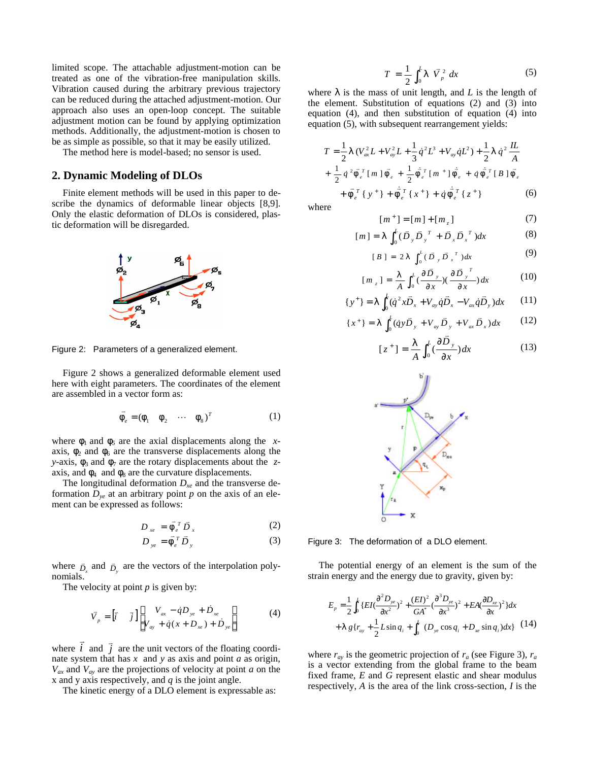limited scope. The attachable adjustment-motion can be treated as one of the vibration-free manipulation skills. Vibration caused during the arbitrary previous trajectory can be reduced during the attached adjustment-motion. Our approach also uses an open-loop concept. The suitable adjustment motion can be found by applying optimization methods. Additionally, the adjustment-motion is chosen to be as simple as possible, so that it may be easily utilized.

The method here is model-based; no sensor is used.

### **2. Dynamic Modeling of DLOs**

Finite element methods will be used in this paper to describe the dynamics of deformable linear objects [8,9]. Only the elastic deformation of DLOs is considered, plastic deformation will be disregarded.



Figure 2: Parameters of a generalized element.

Figure 2 shows a generalized deformable element used here with eight parameters. The coordinates of the element are assembled in a vector form as:

$$
\vec{F}_e = (\mathbf{f}_1 \quad \mathbf{f}_2 \quad \cdots \quad \mathbf{f}_8)^T \tag{1}
$$

where  $f_1$  and  $f_5$  are the axial displacements along the *x*axis,  $f_2$  and  $f_6$  are the transverse displacements along the *y*-axis,  $f_3$  and  $f_7$  are the rotary displacements about the *z*axis, and  $f_4$  and  $f_8$  are the curvature displacements.

The longitudinal deformation  $D_{xe}$  and the transverse deformation  $D_{ve}$  at an arbitrary point p on the axis of an element can be expressed as follows:

$$
D_{xe} = \vec{F}_e^T \vec{D}_x \tag{2}
$$

$$
D_{ye} = \vec{F}_e^T \vec{D}_y \tag{3}
$$

where  $\overline{D}_x$  and  $\overline{D}_y$  are the vectors of the interpolation polynomials.

The velocity at point *p* is given by:

$$
\vec{V}_p = \begin{bmatrix} \vec{i} & \vec{j} \end{bmatrix} \begin{bmatrix} V_{ax} - \dot{q}D_{ye} + \dot{D}_{xe} \\ V_{ay} + \dot{q}(x + D_{xe}) + \dot{D}_{ye} \end{bmatrix}
$$
(4)

where *i*  $\overline{\cdot}$  and *j*  $\vec{j}$  are the unit vectors of the floating coordinate system that has *x* and *y* as axis and point *a* as origin,  $V_{ax}$  and  $V_{ay}$  are the projections of velocity at point *a* on the x and y axis respectively, and *q* is the joint angle.

The kinetic energy of a DLO element is expressable as:

$$
T = \frac{1}{2} \int_0^L I \ \vec{V}_p^2 \ dx \tag{5}
$$

where  $I$  is the mass of unit length, and  $L$  is the length of the element. Substitution of equations (2) and (3) into equation (4), and then substitution of equation (4) into equation (5), with subsequent rearrangement yields:

$$
T = \frac{1}{2} \mathbf{I} \left( V_{\alpha x}^{2} L + V_{\alpha y}^{2} L + \frac{1}{3} \dot{q}^{2} L^{3} + V_{\alpha y} \dot{q} L^{2} \right) + \frac{1}{2} \mathbf{I} \dot{q}^{2} \frac{I L}{A}
$$
  
+ 
$$
\frac{1}{2} \dot{q}^{2} \vec{F}_{e}^{T} \left[ m \right] \vec{F}_{e} + \frac{1}{2} \dot{F}_{e}^{T} \left[ m^{+} \right] \dot{F}_{e} + \dot{q} \dot{F}_{e}^{T} \left[ B \right] \vec{F}_{e}
$$

$$
+ \vec{F}_{e}^{T} \left\{ y^{+} \right\} + \dot{F}_{e}^{T} \left\{ x^{+} \right\} + \dot{q} \dot{F}_{e}^{T} \left\{ z^{+} \right\} \tag{6}
$$

where

$$
[m^+] = [m] + [m_z]
$$
 (7)

$$
[m] = I \int_0^L (\bar{D}_y \bar{D}_y^T + \bar{D}_x \bar{D}_x^T) dx
$$
 (8)

$$
[B] = 2I \int_0^L (\bar{D}_y \bar{D}_x^T) dx
$$
 (9)

$$
[m_z] = \frac{1}{A} \int_0^L (\frac{\partial \overline{D}_y}{\partial x})(\frac{\partial \overline{D}_y}{\partial x}) dx
$$
 (10)

$$
\{y^+\} = I \int_0^L (\dot{q}^2 x \vec{D}_x + V_{ay} \dot{q} \vec{D}_x - V_{ax} \dot{q} \vec{D}_y) dx \qquad (11)
$$

$$
\{x^+\} = I \int_0^L (q y \vec{D}_y + V_{ay} \vec{D}_y + V_{ax} \vec{D}_x) dx \qquad (12)
$$

$$
[z^+] = \frac{1}{A} \int_0^L \left(\frac{\partial \bar{D}_y}{\partial x}\right) dx \tag{13}
$$



Figure 3: The deformation of a DLO element.

The potential energy of an element is the sum of the strain energy and the energy due to gravity, given by:

$$
E_p = \frac{1}{2} \int_0^L \{ EI(\frac{\partial^2 D_{ye}}{\partial x^2})^2 + \frac{(EI)^2}{GA^*} (\frac{\partial^3 D_{ye}}{\partial x^3})^2 + EA(\frac{\partial D_{xe}}{\partial x})^2 \} dx
$$
  
+  $\int_0^L \{ f_{ay} + \frac{1}{2} L \sin q_i + \int_0^L (D_{ye} \cos q_i + D_{xe} \sin q_i) dx \} (14)$ 

where  $r_{ay}$  is the geometric projection of  $r_a$  (see Figure 3),  $r_a$ is a vector extending from the global frame to the beam fixed frame, *E* and *G* represent elastic and shear modulus respectively, *A* is the area of the link cross-section, *I* is the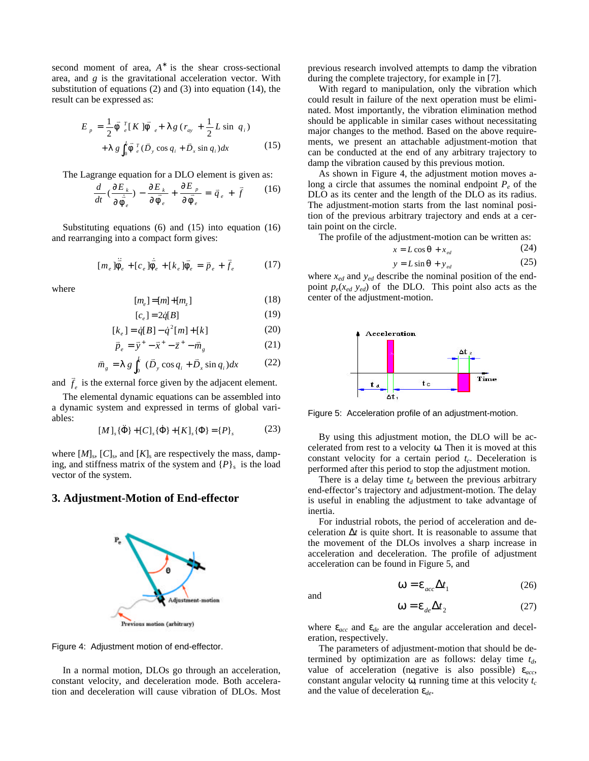second moment of area,  $A^*$  is the shear cross-sectional area, and *g* is the gravitational acceleration vector. With substitution of equations (2) and (3) into equation (14), the result can be expressed as:

$$
E_{p} = \frac{1}{2} \vec{F}_{e}^{T} [K] \vec{F}_{e} + I g (r_{ay} + \frac{1}{2} L \sin q_{i})
$$
  
+ 
$$
I g \int_{0}^{L} \vec{F}_{e}^{T} (\vec{D}_{y} \cos q_{i} + \vec{D}_{x} \sin q_{i}) dx
$$
 (15)

The Lagrange equation for a DLO element is given as:

$$
\frac{d}{dt}\left(\frac{\partial E_k}{\partial \dot{F}_e}\right) - \frac{\partial E_k}{\partial \bar{F}_e} + \frac{\partial E_p}{\partial \bar{F}_e} = \vec{q}_e + \vec{f} \tag{16}
$$

Substituting equations (6) and (15) into equation (16) and rearranging into a compact form gives:

$$
[m_e]\ddot{\vec{F}}_e + [c_e]\dot{\vec{F}}_e + [k_e]\vec{F}_e = \vec{p}_e + \vec{f}_e \tag{17}
$$

where

$$
[m_e] = [m] + [m_z]
$$
 (18)

$$
[c_e] = 2\dot{q}[B] \tag{19}
$$

$$
[k_e] = \dot{q}[B] - \dot{q}^2[m] + [k]
$$
 (20)

$$
\vec{p}_e = \vec{y}^+ - \vec{x}^+ - \vec{z}^+ - \vec{m}_g \tag{21}
$$

$$
\bar{m}_g = I g \int_0^L (\bar{D}_y \cos q_i + \bar{D}_x \sin q_i) dx \qquad (22)
$$

and  $\overline{f}_e$  $\vec{f}$  is the external force given by the adjacent element.

The elemental dynamic equations can be assembled into a dynamic system and expressed in terms of global variables:

$$
[M]_s \{\ddot{\Phi}\} + [C]_s \{\dot{\Phi}\} + [K]_s \{\Phi\} = \{P\}_s
$$
 (23)

where  $[M]_{\rm s}$ ,  $[C]_{\rm s}$ , and  $[K]_{\rm s}$  are respectively the mass, damping, and stiffness matrix of the system and  $\{P\}_s$  is the load vector of the system.

## **3. Adjustment-Motion of End-effector**





In a normal motion, DLOs go through an acceleration, constant velocity, and deceleration mode. Both acceleration and deceleration will cause vibration of DLOs. Most previous research involved attempts to damp the vibration during the complete trajectory, for example in [7].

With regard to manipulation, only the vibration which could result in failure of the next operation must be eliminated. Most importantly, the vibration elimination method should be applicable in similar cases without necessitating major changes to the method. Based on the above requirements, we present an attachable adjustment-motion that can be conducted at the end of any arbitrary trajectory to damp the vibration caused by this previous motion.

As shown in Figure 4, the adjustment motion moves along a circle that assumes the nominal endpoint  $P_e$  of the DLO as its center and the length of the DLO as its radius. The adjustment-motion starts from the last nominal position of the previous arbitrary trajectory and ends at a certain point on the circle.

The profile of the adjustment-motion can be written as:<br> $r = I \cos \theta + r$  (24)

$$
x = L \cos \mathbf{q} + x_{\text{ed}} \tag{24}
$$

$$
y = L\sin q + y_{\text{ed}}\tag{25}
$$

where *xed* and *yed* describe the nominal position of the endpoint  $p_e(x_{ed} \ y_{ed})$  of the DLO. This point also acts as the center of the adjustment-motion.



Figure 5: Acceleration profile of an adjustment-motion.

By using this adjustment motion, the DLO will be accelerated from rest to a velocity *w*. Then it is moved at this constant velocity for a certain period *t<sup>c</sup>* . Deceleration is performed after this period to stop the adjustment motion.

There is a delay time  $t_d$  between the previous arbitrary end-effector's trajectory and adjustment-motion. The delay is useful in enabling the adjustment to take advantage of inertia.

For industrial robots, the period of acceleration and deceleration  $\Delta t$  is quite short. It is reasonable to assume that the movement of the DLOs involves a sharp increase in acceleration and deceleration. The profile of adjustment acceleration can be found in Figure 5, and

and

$$
\mathbf{W} = \mathbf{e}_{acc} \Delta t_1 \tag{26}
$$

$$
\mathbf{W} = \mathbf{e}_{de} \Delta t_2 \tag{27}
$$

where  $e_{acc}$  and  $e_{de}$  are the angular acceleration and deceleration, respectively.

The parameters of adjustment-motion that should be determined by optimization are as follows: delay time *td*, value of acceleration (negative is also possible) *eacc*, constant angular velocity *w*, running time at this velocity *t<sup>c</sup>* and the value of deceleration *ede*.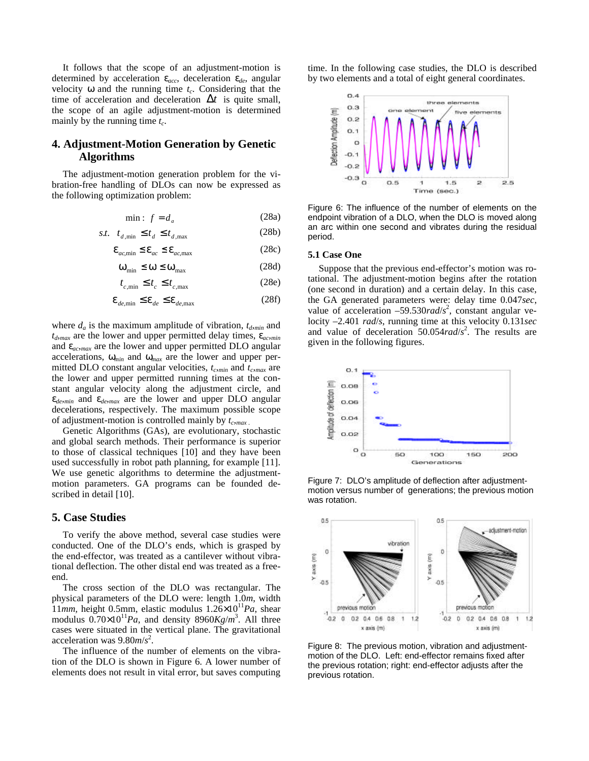It follows that the scope of an adjustment-motion is determined by acceleration *eacc*, deceleration *ede*, angular velocity  $w$  and the running time  $t_c$ . Considering that the time of acceleration and deceleration  $\Delta t$  is quite small, the scope of an agile adjustment-motion is determined mainly by the running time *t<sup>c</sup>* .

## **4. Adjustment-Motion Generation by Genetic Algorithms**

The adjustment-motion generation problem for the vibration-free handling of DLOs can now be expressed as the following optimization problem:

$$
\min: f = d_a \tag{28a}
$$

$$
t. \t t_{d,\min} \le t_d \le t_{d,\max} \t(28b)
$$

$$
\mathbf{e}_{ac,\min} \le \mathbf{e}_{ac} \le \mathbf{e}_{ac,\max} \tag{28c}
$$

$$
\mathbf{W}_{\min} \le \mathbf{W} \le \mathbf{W}_{\max} \tag{28d}
$$

$$
t_{c,\min} \le t_c \le t_{c,\max} \tag{28e}
$$

$$
\mathbf{e}_{de,\min} \le \mathbf{e}_{de} \le \mathbf{e}_{de,\max} \tag{28f}
$$

where  $d_a$  is the maximum amplitude of vibration,  $t_{d,min}$  and  $t_{d}$ <sub>*max*</sub> are the lower and upper permitted delay times,  $e_{ac,min}$ and *eac,max* are the lower and upper permitted DLO angular accelerations, *wmin* and *wmax* are the lower and upper permitted DLO constant angular velocities,  $t_{c,min}$  and  $t_{c,max}$  are the lower and upper permitted running times at the constant angular velocity along the adjustment circle, and  $e_{de,min}$  and  $e_{de,max}$  are the lower and upper DLO angular decelerations, respectively. The maximum possible scope of adjustment-motion is controlled mainly by  $t_{c, max}$ .

Genetic Algorithms (GAs), are evolutionary, stochastic and global search methods. Their performance is superior to those of classical techniques [10] and they have been used successfully in robot path planning, for example [11]. We use genetic algorithms to determine the adjustmentmotion parameters. GA programs can be founded described in detail [10].

### **5. Case Studies**

*s*.*t*.

To verify the above method, several case studies were conducted. One of the DLO's ends, which is grasped by the end-effector, was treated as a cantilever without vibrational deflection. The other distal end was treated as a freeend.

The cross section of the DLO was rectangular. The physical parameters of the DLO were: length 1.0*m*, width 11*mm,* height 0.5mm, elastic modulus 1.26×10<sup>11</sup>*Pa*, shear modulus  $0.70 \times 10^{11} Pa$ , and density 8960*Kg/m*<sup>3</sup>. All three cases were situated in the vertical plane. The gravitational acceleration was 9.80*m*/*s* 2 .

The influence of the number of elements on the vibration of the DLO is shown in Figure 6. A lower number of elements does not result in vital error, but saves computing

time. In the following case studies, the DLO is described by two elements and a total of eight general coordinates.



Figure 6: The influence of the number of elements on the endpoint vibration of a DLO, when the DLO is moved along an arc within one second and vibrates during the residual period.

#### **5.1 Case One**

Suppose that the previous end-effector's motion was rotational. The adjustment-motion begins after the rotation (one second in duration) and a certain delay. In this case, the GA generated parameters were: delay time 0.047*sec*, value of acceleration  $-59.530$ *rad/s*<sup>2</sup>, constant angular velocity –2.401 *rad*/*s*, running time at this velocity 0.131*sec* and value of deceleration 50.054*rad*/*s* 2 . The results are given in the following figures.



Figure 7: DLO's amplitude of deflection after adjustmentmotion versus number of generations; the previous motion was rotation.



Figure 8: The previous motion, vibration and adjustmentmotion of the DLO. Left: end-effector remains fixed after the previous rotation; right: end-effector adjusts after the previous rotation.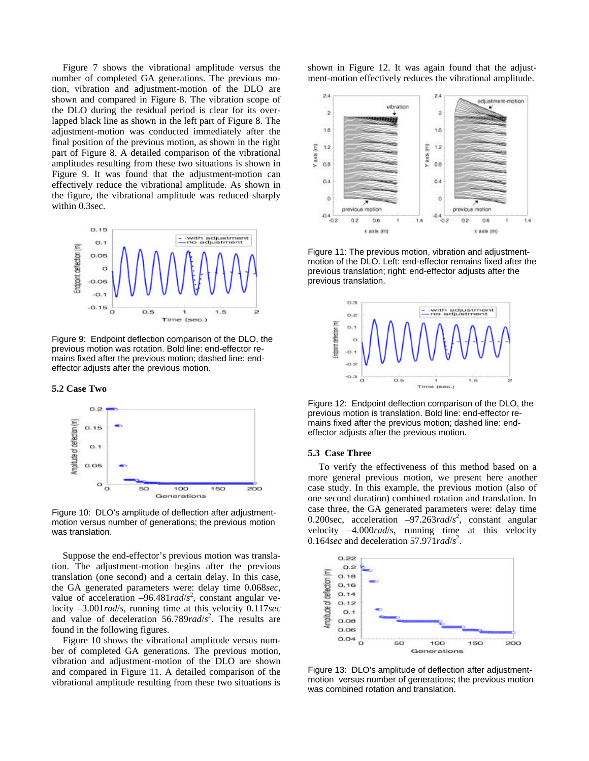Figure 7 shows the vibrational amplitude versus the number of completed GA generations. The previous motion, vibration and adjustment-motion of the DLO are shown and compared in Figure 8. The vibration scope of the DLO during the residual period is clear for its overlapped black line as shown in the left part of Figure 8. The adjustment-motion was conducted immediately after the final position of the previous motion, as shown in the right part of Figure 8. A detailed comparison of the vibrational amplitudes resulting from these two situations is shown in Figure 9. It was found that the adjustment-motion can effectively reduce the vibrational amplitude. As shown in the figure, the vibrational amplitude was reduced sharply within 0.3sec.



Figure 9: Endpoint deflection comparison of the DLO, the previous motion was rotation. Bold line: end-effector remains fixed after the previous motion; dashed line: endeffector adjusts after the previous motion.

#### **5.2 Case Two**



Figure 10: DLO's amplitude of deflection after adjustmentmotion versus number of generations; the previous motion was translation.

Suppose the end-effector's previous motion was translation. The adjustment-motion begins after the previous translation (one second) and a certain delay. In this case, the GA generated parameters were: delay time 0.068*sec*, value of acceleration  $-96.481 rad/s^2$ , constant angular velocity –3.001*rad*/*s*, running time at this velocity 0.117*sec* and value of deceleration 56.789*rad*/*s* 2 . The results are found in the following figures.

Figure 10 shows the vibrational amplitude versus number of completed GA generations. The previous motion, vibration and adjustment-motion of the DLO are shown and compared in Figure 11. A detailed comparison of the vibrational amplitude resulting from these two situations is shown in Figure 12. It was again found that the adjustment-motion effectively reduces the vibrational amplitude.



Figure 11: The previous motion, vibration and adjustmentmotion of the DLO. Left: end-effector remains fixed after the previous translation; right: end-effector adjusts after the previous translation.



Figure 12: Endpoint deflection comparison of the DLO, the previous motion is translation. Bold line: end-effector remains fixed after the previous motion; dashed line: endeffector adjusts after the previous motion.

#### **5.3 Case Three**

To verify the effectiveness of this method based on a more general previous motion, we present here another case study. In this example, the previous motion (also of one second duration) combined rotation and translation. In case three, the GA generated parameters were: delay time 0.200sec, acceleration –97.263*rad*/ $s^2$ , constant angular velocity –4.000*rad*/*s*, running time at this velocity 0.164*sec* and deceleration 57.97 $1 rad/s<sup>2</sup>$ .



Figure 13: DLO's amplitude of deflection after adjustmentmotion versus number of generations; the previous motion was combined rotation and translation.